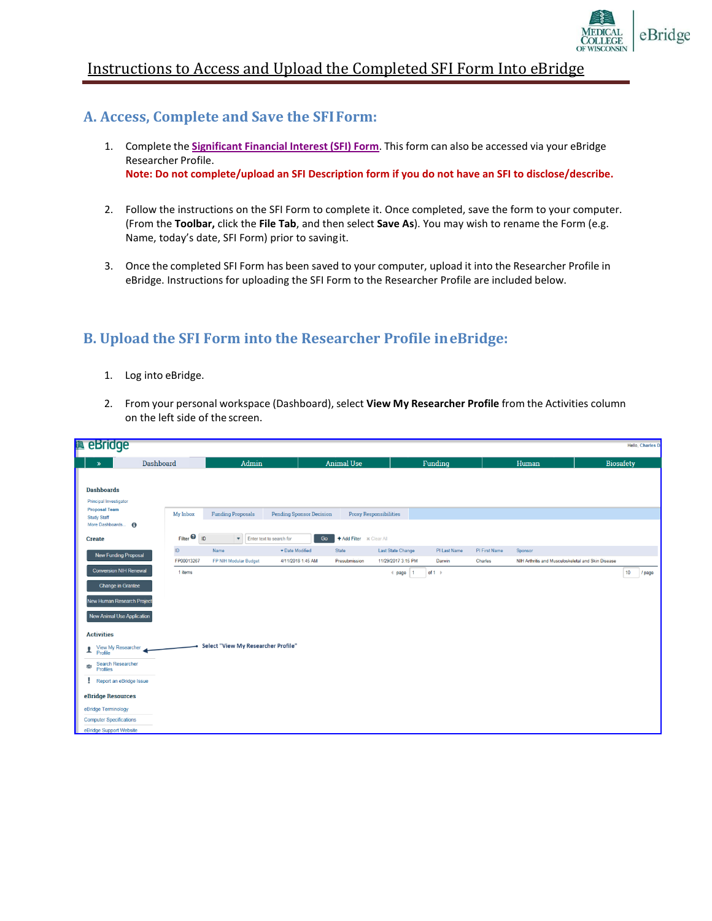

## Instructions to Access and Upload the Completed SFI Form Into eBridge

### **A. Access, Complete and Save the SFIForm:**

- 1. Complete the **[Significant](http://www.mcw.edu/FileLibrary/Groups/OfficeofResearch/DescriptionofSFIForm_Final.xlsx) Financial Interest (SFI) Form**. This form can also be accessed via your eBridge Researcher Profile. **Note: Do not complete/upload an SFI Description form if you do not have an SFI to disclose/describe.**
- 2. Follow the instructions on the SFI Form to complete it. Once completed, save the form to your computer. (From the **Toolbar,** click the **File Tab**, and then select **Save As**). You may wish to rename the Form (e.g. Name, today's date, SFI Form) prior to savingit.
- 3. Once the completed SFI Form has been saved to your computer, upload it into the Researcher Profile in eBridge. Instructions for uploading the SFI Form to the Researcher Profile are included below.

# **B. Upload the SFI Form into the Researcher Profile ineBridge:**

- 1. Log into eBridge.
- 2. From your personal workspace (Dashboard), select **View My Researcher Profile** from the Activities column on the left side of the screen.

| <b>a</b> eBridge                               |                                   |                                     |                                 |                               |                                   |               |                                                    | Hello, Charles D |
|------------------------------------------------|-----------------------------------|-------------------------------------|---------------------------------|-------------------------------|-----------------------------------|---------------|----------------------------------------------------|------------------|
| Dashboard<br>$\gg$                             |                                   | Admin                               |                                 | <b>Animal Use</b>             | Funding                           |               | Human                                              | <b>Biosafety</b> |
|                                                |                                   |                                     |                                 |                               |                                   |               |                                                    |                  |
| <b>Dashboards</b>                              |                                   |                                     |                                 |                               |                                   |               |                                                    |                  |
| Principal Investigator<br><b>Proposal Team</b> |                                   |                                     |                                 |                               |                                   |               |                                                    |                  |
| <b>Study Staff</b>                             | My Inbox                          | <b>Funding Proposals</b>            | <b>Pending Sponsor Decision</b> | <b>Proxy Responsibilities</b> |                                   |               |                                                    |                  |
| More Dashboards <b>6</b>                       |                                   |                                     |                                 |                               |                                   |               |                                                    |                  |
| <b>Create</b>                                  | Filter <sup><sup>0</sup> ID</sup> | Enter text to search for            | Go                              | + Add Filter    x Clear All   |                                   |               |                                                    |                  |
| New Funding Proposal                           | $\sf ID$                          | Name                                | · Date Modified                 | State                         | Last State Change<br>PI Last Name | PI First Name | Sponsor                                            |                  |
|                                                | FP00013267                        | FP NIH Modular Budget               | 4/11/2018 1:45 AM               | Presubmission                 | 11/29/2017 3:15 PM<br>Darwin      | Charles       | NIH Arthritis and Musculoskeletal and Skin Disease |                  |
| <b>Conversion NIH Renewal</b>                  | 1 items                           |                                     |                                 |                               | of $1 +$<br>$\parallel$ page   1  |               |                                                    | 10<br>/ page     |
| <b>Change in Grantee</b>                       |                                   |                                     |                                 |                               |                                   |               |                                                    |                  |
| New Human Research Project                     |                                   |                                     |                                 |                               |                                   |               |                                                    |                  |
|                                                |                                   |                                     |                                 |                               |                                   |               |                                                    |                  |
| New Animal Use Application                     |                                   |                                     |                                 |                               |                                   |               |                                                    |                  |
| <b>Activities</b>                              |                                   |                                     |                                 |                               |                                   |               |                                                    |                  |
|                                                |                                   | Select "View My Researcher Profile" |                                 |                               |                                   |               |                                                    |                  |
| View My Researcher<br>Profile<br>ı             |                                   |                                     |                                 |                               |                                   |               |                                                    |                  |
| Search Researcher<br>悲<br>Profiles             |                                   |                                     |                                 |                               |                                   |               |                                                    |                  |
| Report an eBridge Issue<br>ν.                  |                                   |                                     |                                 |                               |                                   |               |                                                    |                  |
| eBridge Resources                              |                                   |                                     |                                 |                               |                                   |               |                                                    |                  |
| eBridge Terminology                            |                                   |                                     |                                 |                               |                                   |               |                                                    |                  |
| <b>Computer Specifications</b>                 |                                   |                                     |                                 |                               |                                   |               |                                                    |                  |
| eBridge Support Website                        |                                   |                                     |                                 |                               |                                   |               |                                                    |                  |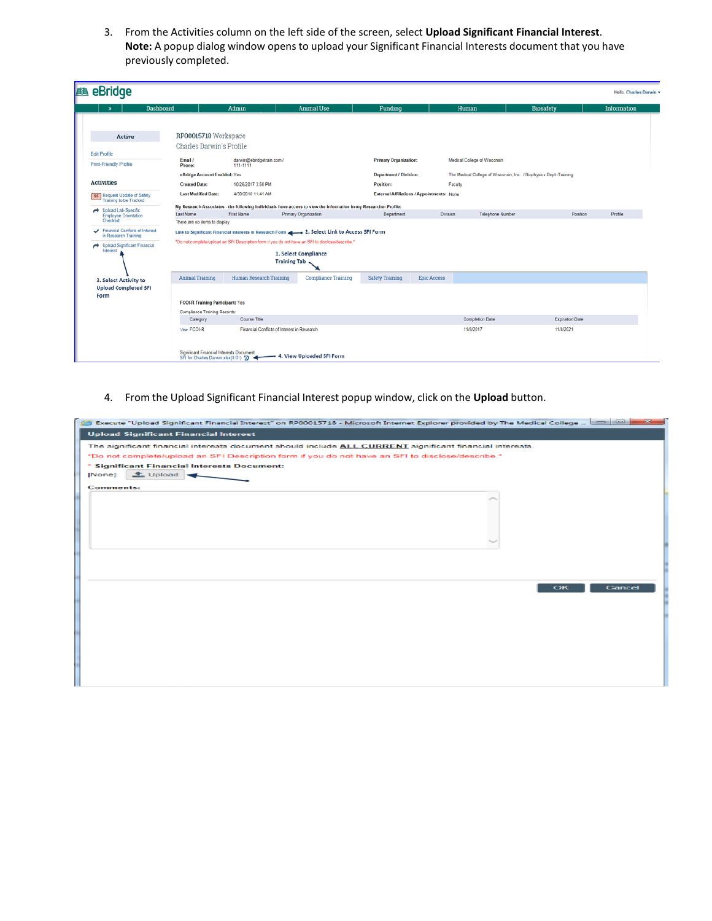3. From the Activities column on the left side of the screen, select **Upload Significant Financial Interest**. **Note:** A popup dialog window opens to upload your Significant Financial Interests document that you have previously completed.

| eBridge<br><b>BE</b>                                                                    |                                                                                 |                                             |                                                                                                                                                                                                |                               |                                                   |                                                                    |                        | Hello, Charles Darwin - |
|-----------------------------------------------------------------------------------------|---------------------------------------------------------------------------------|---------------------------------------------|------------------------------------------------------------------------------------------------------------------------------------------------------------------------------------------------|-------------------------------|---------------------------------------------------|--------------------------------------------------------------------|------------------------|-------------------------|
| Dashboard<br>$\bullet$                                                                  |                                                                                 | Admin                                       | <b>Animal Use</b>                                                                                                                                                                              | Funding                       |                                                   | Human                                                              | <b>Biosafety</b>       | <b>Information</b>      |
| <b>Active</b>                                                                           | RP00015718 Workspace                                                            |                                             |                                                                                                                                                                                                |                               |                                                   |                                                                    |                        |                         |
| <b>Edit Profile</b>                                                                     | Charles Darwin's Profile                                                        |                                             |                                                                                                                                                                                                |                               |                                                   |                                                                    |                        |                         |
| Print-Friendly Profile                                                                  | Email /<br>Phone:                                                               | darwin@ebridgetrain.com /<br>111-1111       |                                                                                                                                                                                                | <b>Primary Organization:</b>  |                                                   | Medical College of Wisconsin                                       |                        |                         |
|                                                                                         | eBridge Account Enabled: Yes                                                    |                                             |                                                                                                                                                                                                | <b>Department / Division:</b> |                                                   | The Medical College of Wisconsin, Inc. / Biophysics Dept -Training |                        |                         |
| <b>Activities</b>                                                                       | <b>Created Date:</b>                                                            | 10/26/2017 3:58 PM                          |                                                                                                                                                                                                | Position:                     | Faculty                                           |                                                                    |                        |                         |
| ss Request Update of Safety<br>Training to be Tracked                                   | <b>Last Modified Date:</b>                                                      | 4/30/2018 11:41 AM                          |                                                                                                                                                                                                |                               | <b>External Affiliations / Appointments: None</b> |                                                                    |                        |                         |
| Upload Lab-Specific                                                                     |                                                                                 |                                             | My Research Associates - the following individuals have access to view the information in my Researcher Profile:                                                                               |                               |                                                   |                                                                    |                        |                         |
| <b>Employee Orientation</b><br>Checklist                                                | <b>Last Name</b><br>There are no items to display                               | First Name                                  | Primary Organization                                                                                                                                                                           | Department                    | Division                                          | Telephone Number                                                   | Position               | Profile                 |
| Financial Conflicts of Interest<br>in Research Training<br>Upload Significant Financial |                                                                                 |                                             | Link to Significant Financial Interests in Research Form 2. Select Link to Access SFI Form<br>*Do not complete/upload an SFI Description form if you do not have an SFI to disclose/describe.* |                               |                                                   |                                                                    |                        |                         |
| Interest                                                                                |                                                                                 |                                             | 1. Select Compliance<br><b>Training Tab</b>                                                                                                                                                    |                               |                                                   |                                                                    |                        |                         |
| 3. Select Activity to                                                                   | <b>Animal Training</b>                                                          | <b>Human Research Training</b>              | <b>Compliance Training</b>                                                                                                                                                                     | <b>Safety Training</b>        | <b>Epic Access</b>                                |                                                                    |                        |                         |
| <b>Upload Completed SFI</b><br>Form                                                     |                                                                                 |                                             |                                                                                                                                                                                                |                               |                                                   |                                                                    |                        |                         |
|                                                                                         | <b>FCOI-R Training Participant: Yes</b>                                         |                                             |                                                                                                                                                                                                |                               |                                                   |                                                                    |                        |                         |
|                                                                                         | <b>Compliance Training Records:</b>                                             |                                             |                                                                                                                                                                                                |                               |                                                   |                                                                    |                        |                         |
|                                                                                         | Category                                                                        | Course Title                                |                                                                                                                                                                                                |                               |                                                   | <b>Completion Date</b>                                             | <b>Expiration Date</b> |                         |
|                                                                                         | View FCOI-R                                                                     | Financial Conflicts of Interest in Research |                                                                                                                                                                                                |                               |                                                   | 11/8/2017                                                          | 11/8/2021              |                         |
|                                                                                         | Significant Financial Interests Document<br>SFI for Charles Darwin xlsx(0.01) 9 |                                             | - 4. View Uploaded SFI Form                                                                                                                                                                    |                               |                                                   |                                                                    |                        |                         |

4. From the Upload Significant Financial Interest popup window, click on the **Upload** button.

| Execute "Upload Significant Financial Interest" on RP00015718 - Microsoft Internet Explorer provided by The Medical College $\Box$ $\Box$ | $-23-$ |
|-------------------------------------------------------------------------------------------------------------------------------------------|--------|
| <b>Upload Significant Financial Interest</b>                                                                                              |        |
| The significant financial interests document should include ALL CURRENT significant financial interests.                                  |        |
| *Do not complete/upload an SFI Description form if you do not have an SFI to disclose/describe.*                                          |        |
| * Significant Financial Interests Document:                                                                                               |        |
| $\triangle$ Upload $\blacksquare$<br>[None]                                                                                               |        |
| <b>Comments:</b>                                                                                                                          |        |
|                                                                                                                                           |        |
|                                                                                                                                           |        |
|                                                                                                                                           |        |
|                                                                                                                                           |        |
|                                                                                                                                           |        |
|                                                                                                                                           |        |
|                                                                                                                                           |        |
|                                                                                                                                           |        |
| Cancel<br>OK                                                                                                                              |        |
|                                                                                                                                           |        |
|                                                                                                                                           |        |
|                                                                                                                                           |        |
|                                                                                                                                           |        |
|                                                                                                                                           |        |
|                                                                                                                                           |        |
|                                                                                                                                           |        |
|                                                                                                                                           |        |
|                                                                                                                                           |        |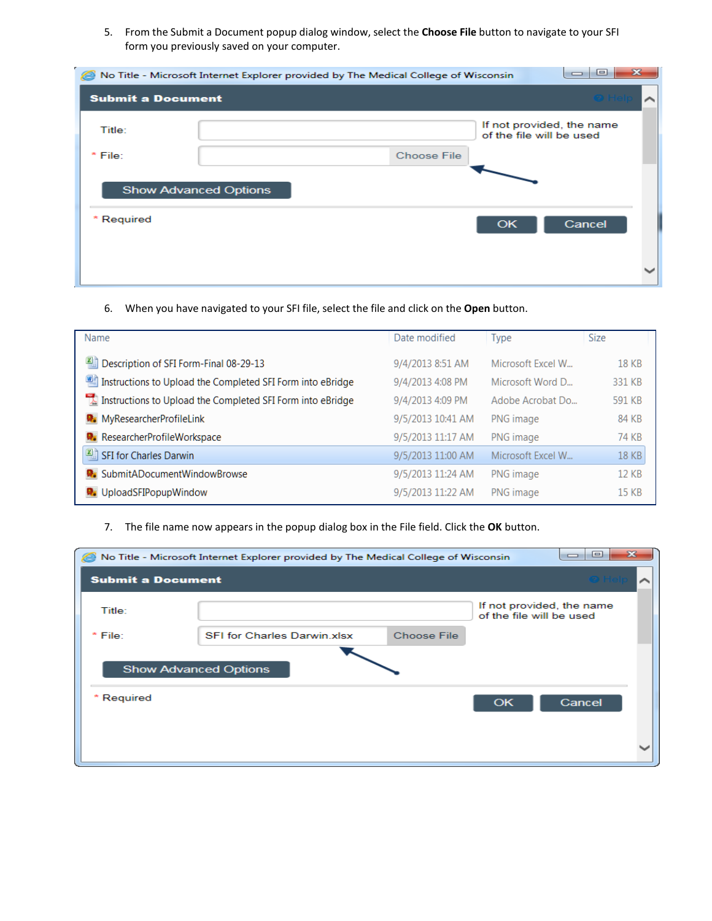5. From the Submit a Document popup dialog window, select the **Choose File** button to navigate to your SFI form you previously saved on your computer.

| e                            | No Title - Microsoft Internet Explorer provided by The Medical College of Wisconsin |                                                       | $\overline{\mathbf{z}}$<br>o<br>$\equiv$ |
|------------------------------|-------------------------------------------------------------------------------------|-------------------------------------------------------|------------------------------------------|
| <b>Submit a Document</b>     |                                                                                     |                                                       |                                          |
| Title:                       |                                                                                     | If not provided, the name<br>of the file will be used |                                          |
| * File:                      | <b>Choose File</b>                                                                  |                                                       |                                          |
| <b>Show Advanced Options</b> |                                                                                     |                                                       |                                          |
| * Required                   |                                                                                     | OK                                                    | Cancel                                   |
|                              |                                                                                     |                                                       |                                          |

### 6. When you have navigated to your SFI file, select the file and click on the **Open** button.

| Name                                                       | Date modified     | <b>Type</b>       | <b>Size</b> |
|------------------------------------------------------------|-------------------|-------------------|-------------|
| Description of SFI Form-Final 08-29-13                     | 9/4/2013 8:51 AM  | Microsoft Excel W | 18 KB       |
| Instructions to Upload the Completed SFI Form into eBridge | 9/4/2013 4:08 PM  | Microsoft Word D  | 331 KB      |
| Instructions to Upload the Completed SFI Form into eBridge | 9/4/2013 4:09 PM  | Adobe Acrobat Do  | 591 KB      |
| MyResearcherProfileLink                                    | 9/5/2013 10:41 AM | PNG image         | 84 KB       |
| ResearcherProfileWorkspace                                 | 9/5/2013 11:17 AM | PNG image         | 74 KB       |
| SFI for Charles Darwin                                     | 9/5/2013 11:00 AM | Microsoft Excel W | 18 KB       |
| <b>D</b> : SubmitADocumentWindowBrowse                     | 9/5/2013 11:24 AM | PNG image         | 12 KB       |
| <b>W</b> UploadSFIPopupWindow                              | 9/5/2013 11:22 AM | PNG image         | 15 KB       |

### 7. The file name now appears in the popup dialog box in the File field. Click the **OK** button.

|                          | No Title - Microsoft Internet Explorer provided by The Medical College of Wisconsin |                    |                                                       | $\mathbf{z}$<br>$\Box$<br>$\overline{\phantom{0}}$ |  |
|--------------------------|-------------------------------------------------------------------------------------|--------------------|-------------------------------------------------------|----------------------------------------------------|--|
| <b>Submit a Document</b> |                                                                                     |                    |                                                       |                                                    |  |
| Title:                   |                                                                                     |                    | If not provided, the name<br>of the file will be used |                                                    |  |
| * File:                  | <b>SFI for Charles Darwin xlsx</b>                                                  | <b>Choose File</b> |                                                       |                                                    |  |
|                          | <b>Show Advanced Options</b>                                                        |                    |                                                       |                                                    |  |
| * Required               |                                                                                     |                    | OK                                                    | Cancel                                             |  |
|                          |                                                                                     |                    |                                                       |                                                    |  |